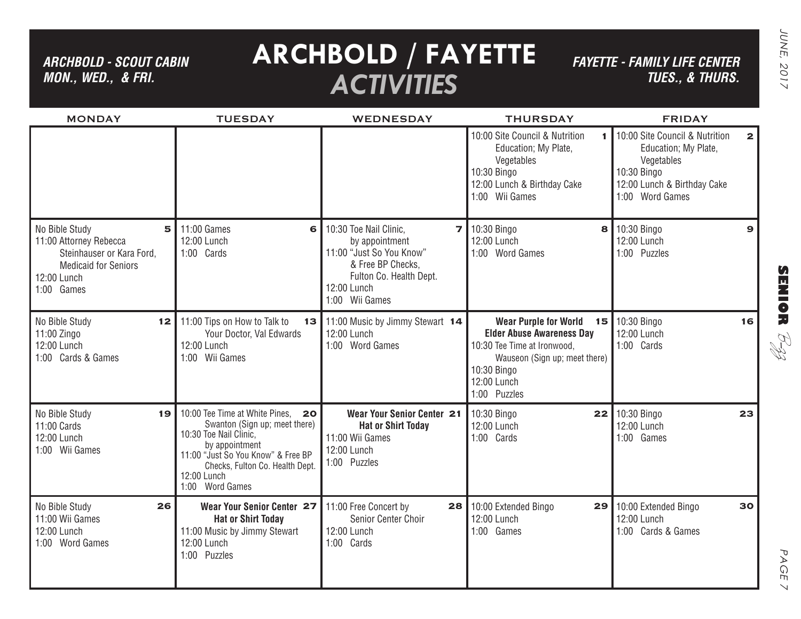*ARCHBOLD - SCOUT CABIN MON., WED., & FRI.*

## **ARCHBOLD / FAYETTE** *ACTIVITIES*

*FAYETTE - FAMILY LIFE CENTER TUES., & THURS.*

| <b>Service Service</b> |
|------------------------|
|                        |

PAGE 7

 $\vee$ 

PAGE

| <b>MONDAY</b>                                                                                                                          | <b>TUESDAY</b>                                                                                                                                                                                                               | <b>WEDNESDAY</b>                                                                                                                                                                  | <b>THURSDAY</b>                                                                                                                                                                | <b>FRIDAY</b>                                                                                                                                         |
|----------------------------------------------------------------------------------------------------------------------------------------|------------------------------------------------------------------------------------------------------------------------------------------------------------------------------------------------------------------------------|-----------------------------------------------------------------------------------------------------------------------------------------------------------------------------------|--------------------------------------------------------------------------------------------------------------------------------------------------------------------------------|-------------------------------------------------------------------------------------------------------------------------------------------------------|
|                                                                                                                                        |                                                                                                                                                                                                                              |                                                                                                                                                                                   | 10:00 Site Council & Nutrition<br>$\mathbf{I}$<br>Education; My Plate,<br>Vegetables<br>10:30 Bingo<br>12:00 Lunch & Birthday Cake<br>1:00 Wii Games                           | 10:00 Site Council & Nutrition<br>$\mathbf{2}$<br>Education; My Plate,<br>Vegetables<br>10:30 Bingo<br>12:00 Lunch & Birthday Cake<br>1:00 Word Games |
| No Bible Study<br>5<br>11:00 Attorney Rebecca<br>Steinhauser or Kara Ford,<br><b>Medicaid for Seniors</b><br>12:00 Lunch<br>1:00 Games | 11:00 Games<br>6<br>12:00 Lunch<br>1:00 Cards                                                                                                                                                                                | 10:30 Toe Nail Clinic,<br>$\overline{\phantom{a}}$<br>by appointment<br>11:00 "Just So You Know"<br>& Free BP Checks,<br>Fulton Co. Health Dept.<br>12:00 Lunch<br>1:00 Wii Games | 10:30 Bingo<br>12:00 Lunch<br>1:00 Word Games                                                                                                                                  | 8 10:30 Bingo<br>$\mathbf{9}$<br>12:00 Lunch<br>1:00 Puzzles                                                                                          |
| No Bible Study<br>12 <sub>1</sub><br>$11:00$ Zingo<br>12:00 Lunch<br>1:00 Cards & Games                                                | 11:00 Tips on How to Talk to<br>Your Doctor, Val Edwards<br>12:00 Lunch<br>1:00 Wii Games                                                                                                                                    | 13 11:00 Music by Jimmy Stewart 14<br>12:00 Lunch<br>1:00 Word Games                                                                                                              | <b>Wear Purple for World</b><br><b>Elder Abuse Awareness Day</b><br>10:30 Tee Time at Ironwood,<br>Wauseon (Sign up; meet there)<br>10:30 Bingo<br>12:00 Lunch<br>1:00 Puzzles | 15 10:30 Bingo<br>16<br>12:00 Lunch<br>1:00 Cards                                                                                                     |
| No Bible Study<br>19<br>11:00 Cards<br>12:00 Lunch<br>1:00 Wii Games                                                                   | 10:00 Tee Time at White Pines,<br>20<br>Swanton (Sign up; meet there)<br>10:30 Toe Nail Clinic,<br>by appointment<br>11:00 "Just So You Know" & Free BP<br>Checks, Fulton Co. Health Dept.<br>12:00 Lunch<br>1:00 Word Games | Wear Your Senior Center 21<br><b>Hat or Shirt Today</b><br>11:00 Wii Games<br>12:00 Lunch<br>1:00 Puzzles                                                                         | 10:30 Bingo<br>12:00 Lunch<br>1:00 Cards                                                                                                                                       | 22 10:30 Bingo<br>23<br>12:00 Lunch<br>1:00 Games                                                                                                     |
| 26<br>No Bible Study<br>11:00 Wii Games<br>12:00 Lunch<br>1:00 Word Games                                                              | Wear Your Senior Center 27<br><b>Hat or Shirt Today</b><br>11:00 Music by Jimmy Stewart<br>12:00 Lunch<br>1:00 Puzzles                                                                                                       | 11:00 Free Concert by<br>28<br>Senior Center Choir<br>12:00 Lunch<br>1:00 Cards                                                                                                   | 10:00 Extended Bingo<br>29<br>12:00 Lunch<br>1:00 Games                                                                                                                        | 10:00 Extended Bingo<br>30<br>12:00 Lunch<br>1:00 Cards & Games                                                                                       |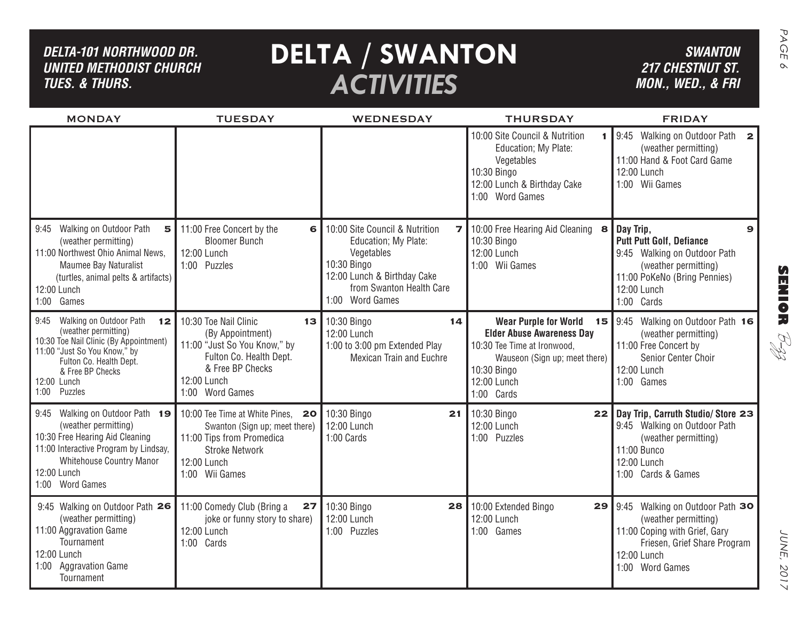| DELTA-101 NORTHWOOD DR.<br><b>UNITED METHODIST CHURCH</b><br><b>TUES. &amp; THURS.</b>                                                                                                                                   |                                                                                                                                                                  | <b>DELTA / SWANTON</b><br><b>ACTIVITIES</b>                                                                                                                       |                                                                                                                                                       | <b>SWANTON</b><br><b>217 CHESTNUT ST.</b><br>MON., WED., & FRI                                                                                                         | PAGE<br>$\infty$                      |
|--------------------------------------------------------------------------------------------------------------------------------------------------------------------------------------------------------------------------|------------------------------------------------------------------------------------------------------------------------------------------------------------------|-------------------------------------------------------------------------------------------------------------------------------------------------------------------|-------------------------------------------------------------------------------------------------------------------------------------------------------|------------------------------------------------------------------------------------------------------------------------------------------------------------------------|---------------------------------------|
| <b>MONDAY</b>                                                                                                                                                                                                            | <b>TUESDAY</b>                                                                                                                                                   | WEDNESDAY                                                                                                                                                         | <b>THURSDAY</b>                                                                                                                                       | <b>FRIDAY</b>                                                                                                                                                          |                                       |
|                                                                                                                                                                                                                          |                                                                                                                                                                  |                                                                                                                                                                   | 10:00 Site Council & Nutrition<br>$\mathbf{1}$<br>Education; My Plate:<br>Vegetables<br>10:30 Bingo<br>12:00 Lunch & Birthday Cake<br>1:00 Word Games | Walking on Outdoor Path<br>9:45<br>$\mathbf{2}$<br>(weather permitting)<br>11:00 Hand & Foot Card Game<br>12:00 Lunch<br>1:00 Wii Games                                |                                       |
| 9:45 Walking on Outdoor Path<br>5<br>(weather permitting)<br>11:00 Northwest Ohio Animal News,<br><b>Maumee Bay Naturalist</b><br>(turtles, animal pelts & artifacts)<br>12:00 Lunch<br>1:00 Games                       | 11:00 Free Concert by the<br>6<br><b>Bloomer Bunch</b><br>12:00 Lunch<br>1:00 Puzzles                                                                            | 10:00 Site Council & Nutrition<br>Education; My Plate:<br>Vegetables<br>10:30 Bingo<br>12:00 Lunch & Birthday Cake<br>from Swanton Health Care<br>1:00 Word Games | 7 10:00 Free Hearing Aid Cleaning<br>8<br>10:30 Bingo<br>12:00 Lunch<br>1:00 Wii Games                                                                | Day Trip,<br>9<br><b>Putt Putt Golf, Defiance</b><br>9:45 Walking on Outdoor Path<br>(weather permitting)<br>11:00 PoKeNo (Bring Pennies)<br>12:00 Lunch<br>1:00 Cards | $\boldsymbol{\Omega}$<br><b>MNIOR</b> |
| Walking on Outdoor Path<br>9:45<br>12<br>(weather permitting)<br>10:30 Toe Nail Clinic (By Appointment)<br>11:00 "Just So You Know," by<br>Fulton Co. Health Dept.<br>& Free BP Checks<br>12:00 Lunch<br>Puzzles<br>1:00 | 10:30 Toe Nail Clinic<br>13<br>(By Appointment)<br>11:00 "Just So You Know," by<br>Fulton Co. Health Dept.<br>& Free BP Checks<br>12:00 Lunch<br>1:00 Word Games | 10:30 Bingo<br>14<br>12:00 Lunch<br>1:00 to 3:00 pm Extended Play<br><b>Mexican Train and Euchre</b>                                                              | <b>Elder Abuse Awareness Day</b><br>10:30 Tee Time at Ironwood,<br>Wauseon (Sign up; meet there)<br>10:30 Bingo<br>12:00 Lunch<br>1:00 Cards          | Wear Purple for World 15   9:45 Walking on Outdoor Path 16<br>(weather permitting)<br>11:00 Free Concert by<br>Senior Center Choir<br>12:00 Lunch<br>1:00 Games        | RI<br>H                               |
| 9:45 Walking on Outdoor Path 19<br>(weather permitting)<br>10:30 Free Hearing Aid Cleaning<br>11:00 Interactive Program by Lindsay,<br>Whitehouse Country Manor<br>12:00 Lunch<br>1:00 Word Games                        | 10:00 Tee Time at White Pines,<br>20<br>Swanton (Sign up; meet there)<br>11:00 Tips from Promedica<br><b>Stroke Network</b><br>12:00 Lunch<br>1:00 Wii Games     | 10:30 Bingo<br>21<br>12:00 Lunch<br>1:00 Cards                                                                                                                    | 10:30 Bingo<br>22<br>12:00 Lunch<br>1:00 Puzzles                                                                                                      | Day Trip, Carruth Studio/ Store 23<br>9:45 Walking on Outdoor Path<br>(weather permitting)<br>11:00 Bunco<br>12:00 Lunch<br>1:00 Cards & Games                         |                                       |
| 9:45 Walking on Outdoor Path 26<br>(weather permitting)<br>11:00 Aggravation Game<br>Tournament<br>12:00 Lunch<br>1:00 Aggravation Game<br>Tournament                                                                    | 11:00 Comedy Club (Bring a<br>27<br>joke or funny story to share)<br>12:00 Lunch<br>1:00 Cards                                                                   | 10:30 Bingo<br>12:00 Lunch<br>1:00 Puzzles                                                                                                                        | 28 10:00 Extended Bingo<br>29<br>12:00 Lunch<br>1:00 Games                                                                                            | 9:45 Walking on Outdoor Path 30<br>(weather permitting)<br>11:00 Coping with Grief, Gary<br>Friesen, Grief Share Program<br>12:00 Lunch<br>1:00 Word Games             | <b>JUNE</b> ,<br>2017                 |